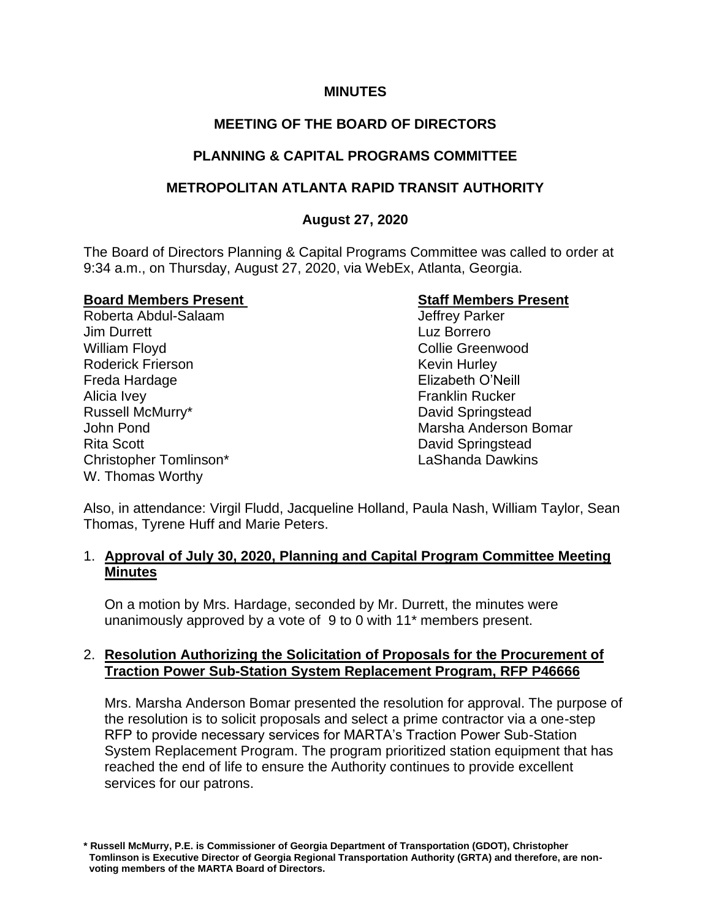### **MINUTES**

# **MEETING OF THE BOARD OF DIRECTORS**

## **PLANNING & CAPITAL PROGRAMS COMMITTEE**

### **METROPOLITAN ATLANTA RAPID TRANSIT AUTHORITY**

### **August 27, 2020**

The Board of Directors Planning & Capital Programs Committee was called to order at 9:34 a.m., on Thursday, August 27, 2020, via WebEx, Atlanta, Georgia.

Roberta Abdul-Salaam **Jim Durrett** Luz Borrero William Floyd **Collie Greenwood** Collie Greenwood Roderick Frierson **Kevin Hurley** Kevin Hurley Freda Hardage Elizabeth O'Neill Alicia Ivey **Franklin** Rucker Russell McMurry\* **David Springstead** John Pond **Marsha Anderson Bomar** Marsha Anderson Bomar Rita Scott **David Springstead** Christopher Tomlinson\* LaShanda Dawkins W. Thomas Worthy

**Board Members Present Staff Members Present**

Also, in attendance: Virgil Fludd, Jacqueline Holland, Paula Nash, William Taylor, Sean Thomas, Tyrene Huff and Marie Peters.

### 1. **Approval of July 30, 2020, Planning and Capital Program Committee Meeting Minutes**

On a motion by Mrs. Hardage, seconded by Mr. Durrett, the minutes were unanimously approved by a vote of 9 to 0 with 11\* members present.

### 2. **Resolution Authorizing the Solicitation of Proposals for the Procurement of Traction Power Sub-Station System Replacement Program, RFP P46666**

Mrs. Marsha Anderson Bomar presented the resolution for approval. The purpose of the resolution is to solicit proposals and select a prime contractor via a one-step RFP to provide necessary services for MARTA's Traction Power Sub-Station System Replacement Program. The program prioritized station equipment that has reached the end of life to ensure the Authority continues to provide excellent services for our patrons.

**<sup>\*</sup> Russell McMurry, P.E. is Commissioner of Georgia Department of Transportation (GDOT), Christopher Tomlinson is Executive Director of Georgia Regional Transportation Authority (GRTA) and therefore, are non voting members of the MARTA Board of Directors.**